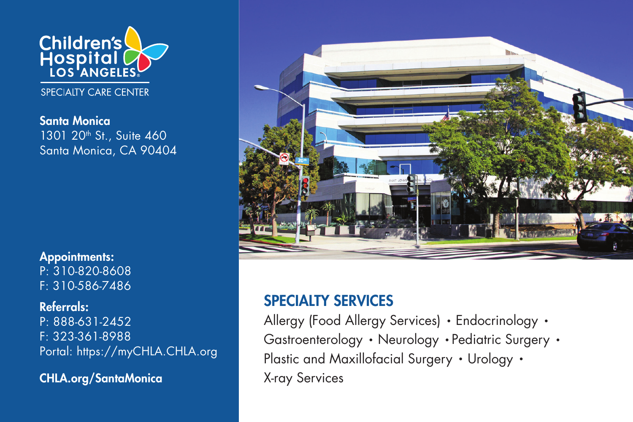

SPECIALTY CARE CENTER

Santa Monica 1301 20<sup>th</sup> St., Suite 460 Santa Monica, CA 90404

Appointments: P: 310-820-8608 F: 310-586-7486

Referrals: P: 888-631-2452 F: 323-361-8988 Portal: https://myCHLA.CHLA.org

CHLA.org/SantaMonica



## SPECIALTY SERVICES

Allergy (Food Allergy Services) • Endocrinology • Gastroenterology • Neurology • Pediatric Surgery • Plastic and Maxillofacial Surgery • Urology • X-ray Services